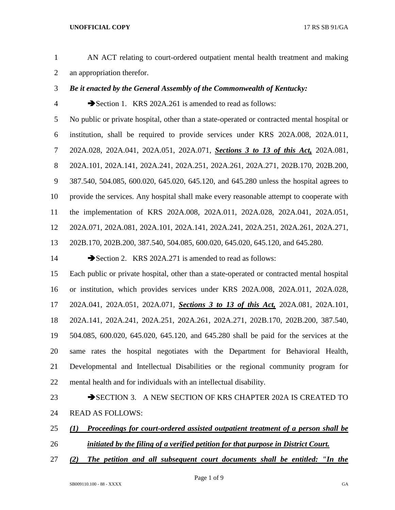- AN ACT relating to court-ordered outpatient mental health treatment and making an appropriation therefor.
- *Be it enacted by the General Assembly of the Commonwealth of Kentucky:*
- 

Section 1. KRS 202A.261 is amended to read as follows:

 No public or private hospital, other than a state-operated or contracted mental hospital or institution, shall be required to provide services under KRS 202A.008, 202A.011, 202A.028, 202A.041, 202A.051, 202A.071, *Sections 3 to 13 of this Act,* 202A.081, 202A.101, 202A.141, 202A.241, 202A.251, 202A.261, 202A.271, 202B.170, 202B.200, 387.540, 504.085, 600.020, 645.020, 645.120, and 645.280 unless the hospital agrees to provide the services. Any hospital shall make every reasonable attempt to cooperate with the implementation of KRS 202A.008, 202A.011, 202A.028, 202A.041, 202A.051, 202A.071, 202A.081, 202A.101, 202A.141, 202A.241, 202A.251, 202A.261, 202A.271, 202B.170, 202B.200, 387.540, 504.085, 600.020, 645.020, 645.120, and 645.280.

14 Section 2. KRS 202A.271 is amended to read as follows:

 Each public or private hospital, other than a state-operated or contracted mental hospital or institution, which provides services under KRS 202A.008, 202A.011, 202A.028, 202A.041, 202A.051, 202A.071, *Sections 3 to 13 of this Act,* 202A.081, 202A.101, 202A.141, 202A.241, 202A.251, 202A.261, 202A.271, 202B.170, 202B.200, 387.540, 504.085, 600.020, 645.020, 645.120, and 645.280 shall be paid for the services at the same rates the hospital negotiates with the Department for Behavioral Health, Developmental and Intellectual Disabilities or the regional community program for mental health and for individuals with an intellectual disability.

- 23 SECTION 3. A NEW SECTION OF KRS CHAPTER 202A IS CREATED TO READ AS FOLLOWS:
- *(1) Proceedings for court-ordered assisted outpatient treatment of a person shall be initiated by the filing of a verified petition for that purpose in District Court.*
- *(2) The petition and all subsequent court documents shall be entitled: "In the*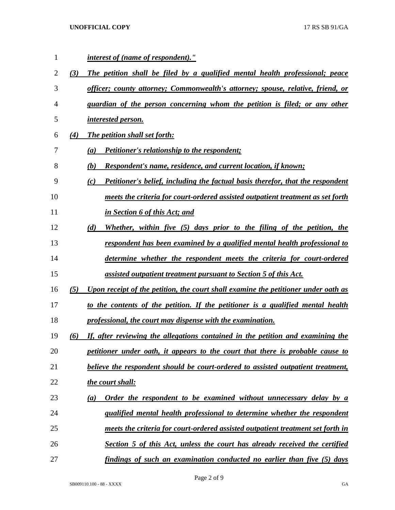| $\mathbf{1}$   |     | <i>interest of (name of respondent)."</i>                                             |
|----------------|-----|---------------------------------------------------------------------------------------|
| $\overline{2}$ | (3) | The petition shall be filed by a qualified mental health professional; peace          |
| 3              |     | officer; county attorney; Commonwealth's attorney; spouse, relative, friend, or       |
| 4              |     | guardian of the person concerning whom the petition is filed; or any other            |
| 5              |     | interested person.                                                                    |
| 6              | (4) | <b>The petition shall set forth:</b>                                                  |
| 7              |     | <b>Petitioner's relationship to the respondent;</b><br>(a)                            |
| 8              |     | <b>Respondent's name, residence, and current location, if known;</b><br>(b)           |
| 9              |     | Petitioner's belief, including the factual basis therefor, that the respondent<br>(c) |
| 10             |     | meets the criteria for court-ordered assisted outpatient treatment as set forth       |
| 11             |     | in Section 6 of this Act; and                                                         |
| 12             |     | Whether, within five (5) days prior to the filing of the petition, the<br>(d)         |
| 13             |     | <u>respondent has been examined by a qualified mental health professional to</u>      |
| 14             |     | determine whether the respondent meets the criteria for court-ordered                 |
| 15             |     | assisted outpatient treatment pursuant to Section 5 of this Act.                      |
| 16             | (5) | Upon receipt of the petition, the court shall examine the petitioner under oath as    |
| 17             |     | to the contents of the petition. If the petitioner is a qualified mental health       |
| 18             |     | professional, the court may dispense with the examination.                            |
| 19             | (6) | If, after reviewing the allegations contained in the petition and examining the       |
| 20             |     | petitioner under oath, it appears to the court that there is probable cause to        |
| 21             |     | believe the respondent should be court-ordered to assisted outpatient treatment,      |
| 22             |     | the court shall:                                                                      |
| 23             |     | Order the respondent to be examined without unnecessary delay by a<br>(a)             |
| 24             |     | qualified mental health professional to determine whether the respondent              |
| 25             |     | meets the criteria for court-ordered assisted outpatient treatment set forth in       |
| 26             |     | Section 5 of this Act, unless the court has already received the certified            |
| 27             |     | findings of such an examination conducted no earlier than five (5) days               |

Page 2 of 9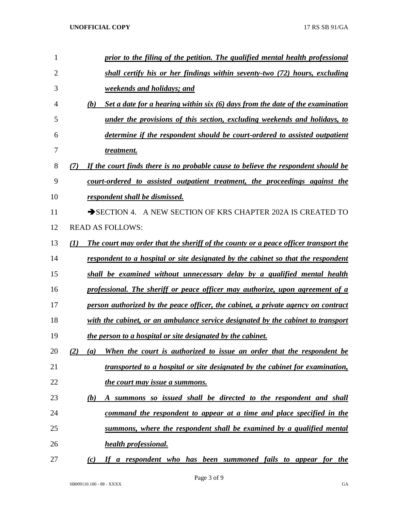| 1  | prior to the filing of the petition. The qualified mental health professional              |
|----|--------------------------------------------------------------------------------------------|
| 2  | shall certify his or her findings within seventy-two (72) hours, excluding                 |
| 3  | <i>weekends and holidays; and</i>                                                          |
| 4  | Set a date for a hearing within six (6) days from the date of the examination<br>(b)       |
| 5  | under the provisions of this section, excluding weekends and holidays, to                  |
| 6  | determine if the respondent should be court-ordered to assisted outpatient                 |
| 7  | treatment.                                                                                 |
| 8  | If the court finds there is no probable cause to believe the respondent should be<br>(7)   |
| 9  | court-ordered to assisted outpatient treatment, the proceedings against the                |
| 10 | respondent shall be dismissed.                                                             |
| 11 | SECTION 4. A NEW SECTION OF KRS CHAPTER 202A IS CREATED TO                                 |
| 12 | <b>READ AS FOLLOWS:</b>                                                                    |
| 13 | The court may order that the sheriff of the county or a peace officer transport the<br>(I) |
| 14 | respondent to a hospital or site designated by the cabinet so that the respondent          |
| 15 | shall be examined without unnecessary delay by a qualified mental health                   |
| 16 | professional. The sheriff or peace officer may authorize, upon agreement of a              |
| 17 | person authorized by the peace officer, the cabinet, a private agency on contract          |
| 18 | with the cabinet, or an ambulance service designated by the cabinet to transport           |
| 19 | the person to a hospital or site designated by the cabinet.                                |
| 20 | When the court is authorized to issue an order that the respondent be<br>(2)<br>(a)        |
| 21 | transported to a hospital or site designated by the cabinet for examination,               |
| 22 | the court may issue a summons.                                                             |
| 23 | A summons so issued shall be directed to the respondent and shall<br><u>(b)</u>            |
| 24 | command the respondent to appear at a time and place specified in the                      |
| 25 | summons, where the respondent shall be examined by a qualified mental                      |
| 26 | <b>health professional.</b>                                                                |
| 27 | If a respondent who has been summoned fails to appear for the<br>(c)                       |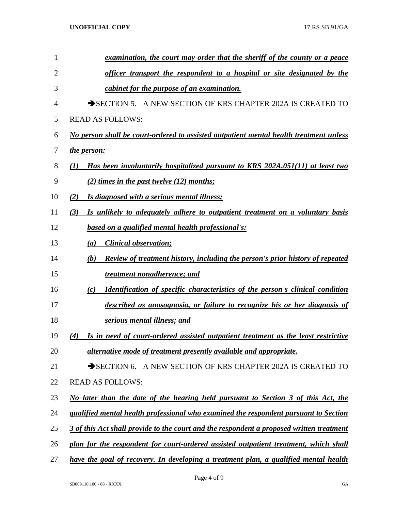| $\mathbf{1}$ | examination, the court may order that the sheriff of the county or a peace                  |
|--------------|---------------------------------------------------------------------------------------------|
| 2            | officer transport the respondent to a hospital or site designated by the                    |
| 3            | cabinet for the purpose of an examination.                                                  |
| 4            | SECTION 5. A NEW SECTION OF KRS CHAPTER 202A IS CREATED TO                                  |
| 5            | <b>READ AS FOLLOWS:</b>                                                                     |
| 6            | No person shall be court-ordered to assisted outpatient mental health treatment unless      |
| 7            | the person:                                                                                 |
| 8            | Has been involuntarily hospitalized pursuant to KRS 202A.051(11) at least two<br>$\bf(1)$   |
| 9            | (2) times in the past twelve (12) months;                                                   |
| 10           | Is diagnosed with a serious mental illness;<br>(2)                                          |
| 11           | (3)<br>Is unlikely to adequately adhere to outpatient treatment on a voluntary basis        |
| 12           | based on a qualified mental health professional's:                                          |
| 13           | <b>Clinical observation;</b><br>(a)                                                         |
| 14           | Review of treatment history, including the person's prior history of repeated<br>(b)        |
| 15           | treatment nonadherence; and                                                                 |
| 16           | <b>Identification of specific characteristics of the person's clinical condition</b><br>(c) |
| 17           | described as anosognosia, or failure to recognize his or her diagnosis of                   |
| 18           | serious mental illness; and                                                                 |
| 19           | Is in need of court-ordered assisted outpatient treatment as the least restrictive<br>(4)   |
| 20           | alternative mode of treatment presently available and appropriate.                          |
| 21           | SECTION 6. A NEW SECTION OF KRS CHAPTER 202A IS CREATED TO                                  |
| 22           | <b>READ AS FOLLOWS:</b>                                                                     |
| 23           | No later than the date of the hearing held pursuant to Section 3 of this Act, the           |
| 24           | qualified mental health professional who examined the respondent pursuant to Section        |
| 25           | 3 of this Act shall provide to the court and the respondent a proposed written treatment    |
| 26           | plan for the respondent for court-ordered assisted outpatient treatment, which shall        |
| 27           | have the goal of recovery. In developing a treatment plan, a qualified mental health        |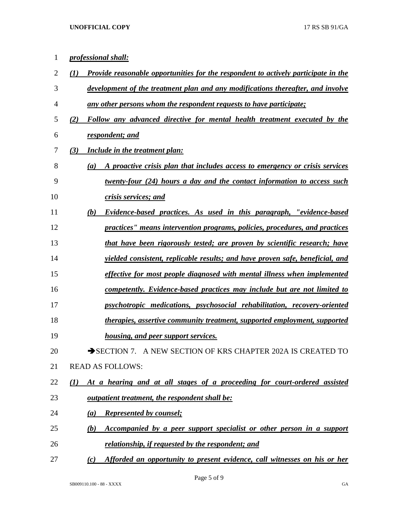| 1              | professional shall:                                                                              |
|----------------|--------------------------------------------------------------------------------------------------|
| $\overline{2}$ | <b>Provide reasonable opportunities for the respondent to actively participate in the</b><br>(I) |
| 3              | development of the treatment plan and any modifications thereafter, and involve                  |
| 4              | <u>any other persons whom the respondent requests to have participate;</u>                       |
| 5              | Follow any advanced directive for mental health treatment executed by the<br>(2)                 |
| 6              | respondent; and                                                                                  |
| 7              | (3)<br><b>Include in the treatment plan:</b>                                                     |
| 8              | A proactive crisis plan that includes access to emergency or crisis services<br>(a)              |
| 9              | twenty-four (24) hours a day and the contact information to access such                          |
| 10             | crisis services; and                                                                             |
| 11             | (b)<br>Evidence-based practices. As used in this paragraph, "evidence-based"                     |
| 12             | practices'' means intervention programs, policies, procedures, and practices                     |
| 13             | that have been rigorously tested; are proven by scientific research; have                        |
| 14             | <i>yielded consistent, replicable results; and have proven safe, beneficial, and</i>             |
| 15             | effective for most people diagnosed with mental illness when implemented                         |
| 16             | competently. Evidence-based practices may include but are not limited to                         |
| 17             | psychotropic medications, psychosocial rehabilitation, recovery-oriented                         |
| 18             | therapies, assertive community treatment, supported employment, supported                        |
| 19             | <u>housing, and peer support services.</u>                                                       |
| 20             | SECTION 7. A NEW SECTION OF KRS CHAPTER 202A IS CREATED TO                                       |
| 21             | <b>READ AS FOLLOWS:</b>                                                                          |
| 22             | At a hearing and at all stages of a proceeding for court-ordered assisted<br>(1)                 |
| 23             | <i>outpatient treatment, the respondent shall be:</i>                                            |
| 24             | <b>Represented by counsel;</b><br>(a)                                                            |
| 25             | Accompanied by a peer support specialist or other person in a support<br>(b)                     |
| 26             | relationship, if requested by the respondent; and                                                |
| 27             | Afforded an opportunity to present evidence, call witnesses on his or her<br>(c)                 |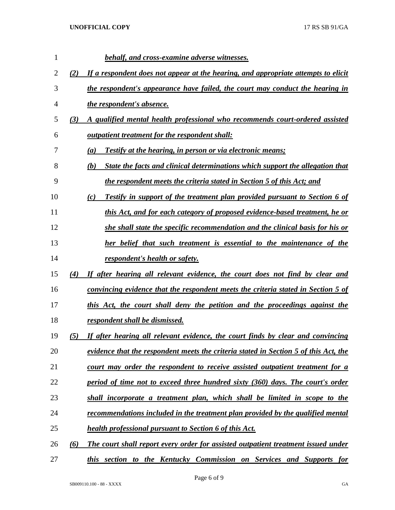| 1  |     | behalf, and cross-examine adverse witnesses.                                                |
|----|-----|---------------------------------------------------------------------------------------------|
| 2  | (2) | If a respondent does not appear at the hearing, and appropriate attempts to elicit          |
| 3  |     | the respondent's appearance have failed, the court may conduct the hearing in               |
| 4  |     | <i>the respondent's absence.</i>                                                            |
| 5  | (3) | A qualified mental health professional who recommends court-ordered assisted                |
| 6  |     | <u>outpatient treatment for the respondent shall:</u>                                       |
| 7  |     | Testify at the hearing, in person or via electronic means;<br>(a)                           |
| 8  |     | State the facts and clinical determinations which support the allegation that<br>(b)        |
| 9  |     | the respondent meets the criteria stated in Section 5 of this Act; and                      |
| 10 |     | Testify in support of the treatment plan provided pursuant to Section 6 of<br>(c)           |
| 11 |     | this Act, and for each category of proposed evidence-based treatment, he or                 |
| 12 |     | she shall state the specific recommendation and the clinical basis for his or               |
| 13 |     | her belief that such treatment is essential to the maintenance of the                       |
| 14 |     | respondent's health or safety.                                                              |
| 15 | (4) | If after hearing all relevant evidence, the court does not find by clear and                |
| 16 |     | convincing evidence that the respondent meets the criteria stated in Section 5 of           |
| 17 |     | this Act, the court shall deny the petition and the proceedings against the                 |
| 18 |     | respondent shall be dismissed.                                                              |
| 19 | (5) | If after hearing all relevant evidence, the court finds by clear and convincing             |
| 20 |     | <u>evidence that the respondent meets the criteria stated in Section 5 of this Act, the</u> |
| 21 |     | court may order the respondent to receive assisted outpatient treatment for a               |
| 22 |     | period of time not to exceed three hundred sixty (360) days. The court's order              |
| 23 |     | shall incorporate a treatment plan, which shall be limited in scope to the                  |
| 24 |     | <u>recommendations included in the treatment plan provided by the qualified mental</u>      |
| 25 |     | <b>health professional pursuant to Section 6 of this Act.</b>                               |
| 26 | (6) | The court shall report every order for assisted outpatient treatment issued under           |
| 27 |     | this section to the Kentucky Commission on Services and Supports for                        |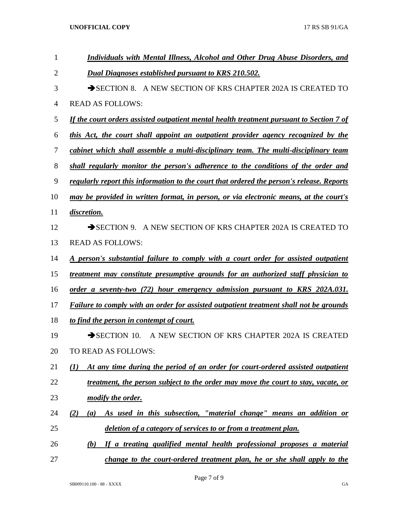| 1              | <b>Individuals with Mental Illness, Alcohol and Other Drug Abuse Disorders, and</b>             |
|----------------|-------------------------------------------------------------------------------------------------|
| $\overline{2}$ | <b>Dual Diagnoses established pursuant to KRS 210.502.</b>                                      |
| 3              | SECTION 8. A NEW SECTION OF KRS CHAPTER 202A IS CREATED TO                                      |
| 4              | <b>READ AS FOLLOWS:</b>                                                                         |
| 5              | <u>If the court orders assisted outpatient mental health treatment pursuant to Section 7 of</u> |
| 6              | this Act, the court shall appoint an outpatient provider agency recognized by the               |
| 7              | cabinet which shall assemble a multi-disciplinary team. The multi-disciplinary team             |
| 8              | shall regularly monitor the person's adherence to the conditions of the order and               |
| 9              | regularly report this information to the court that ordered the person's release. Reports       |
| 10             | may be provided in written format, in person, or via electronic means, at the court's           |
| 11             | discretion.                                                                                     |
| 12             | SECTION 9. A NEW SECTION OF KRS CHAPTER 202A IS CREATED TO                                      |
| 13             | <b>READ AS FOLLOWS:</b>                                                                         |
| 14             | <u>A person's substantial failure to comply with a court order for assisted outpatient</u>      |
| 15             | treatment may constitute presumptive grounds for an authorized staff physician to               |
| 16             | order a seventy-two (72) hour emergency admission pursuant to KRS 202A.031.                     |
| 17             | Failure to comply with an order for assisted outpatient treatment shall not be grounds          |
| 18             | to find the person in contempt of court.                                                        |
| 19             | $\rightarrow$ SECTION 10.<br>A NEW SECTION OF KRS CHAPTER 202A IS CREATED                       |
| 20             | TO READ AS FOLLOWS:                                                                             |
| 21             | At any time during the period of an order for court-ordered assisted outpatient<br>(1)          |
| 22             | treatment, the person subject to the order may move the court to stay, vacate, or               |
| 23             | modify the order.                                                                               |
| 24             | As used in this subsection, "material change" means an addition or<br>(2)<br>(a)                |
| 25             | deletion of a category of services to or from a treatment plan.                                 |
| 26             | If a treating qualified mental health professional proposes a material<br>(b)                   |
| 27             | change to the court-ordered treatment plan, he or she shall apply to the                        |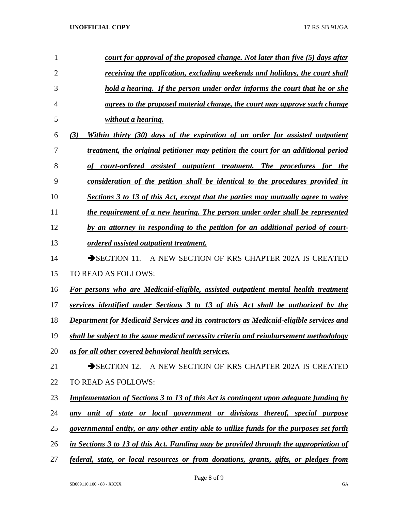| 1              | court for approval of the proposed change. Not later than five (5) days after                |
|----------------|----------------------------------------------------------------------------------------------|
| $\overline{2}$ | receiving the application, excluding weekends and holidays, the court shall                  |
| 3              | hold a hearing. If the person under order informs the court that he or she                   |
| 4              | agrees to the proposed material change, the court may approve such change                    |
| 5              | without a hearing.                                                                           |
| 6              | (3)<br>Within thirty (30) days of the expiration of an order for assisted outpatient         |
| 7              | treatment, the original petitioner may petition the court for an additional period           |
| 8              | court-ordered assisted outpatient treatment. The procedures for the                          |
| 9              | consideration of the petition shall be identical to the procedures provided in               |
| 10             | Sections 3 to 13 of this Act, except that the parties may mutually agree to waive            |
| 11             | the requirement of a new hearing. The person under order shall be represented                |
| 12             | by an attorney in responding to the petition for an additional period of court-              |
| 13             | <u>ordered</u> assisted outpatient treatment.                                                |
| 14             | A NEW SECTION OF KRS CHAPTER 202A IS CREATED<br>$\rightarrow$ SECTION 11.                    |
| 15             | TO READ AS FOLLOWS:                                                                          |
| 16             | For persons who are Medicaid-eligible, assisted outpatient mental health treatment           |
| 17             | services identified under Sections 3 to 13 of this Act shall be authorized by the            |
| 18             | Department for Medicaid Services and its contractors as Medicaid-eligible services and       |
| 19             | shall be subject to the same medical necessity criteria and reimbursement methodology        |
| 20             | as for all other covered behavioral health services.                                         |
| 21             | SECTION 12. A NEW SECTION OF KRS CHAPTER 202A IS CREATED                                     |
| 22             | TO READ AS FOLLOWS:                                                                          |
| 23             | <b>Implementation of Sections 3 to 13 of this Act is contingent upon adequate funding by</b> |
| 24             | any unit of state or local government or divisions thereof, special purpose                  |
| 25             | governmental entity, or any other entity able to utilize funds for the purposes set forth    |
| 26             | in Sections 3 to 13 of this Act. Funding may be provided through the appropriation of        |
|                |                                                                                              |

*federal, state, or local resources or from donations, grants, gifts, or pledges from*